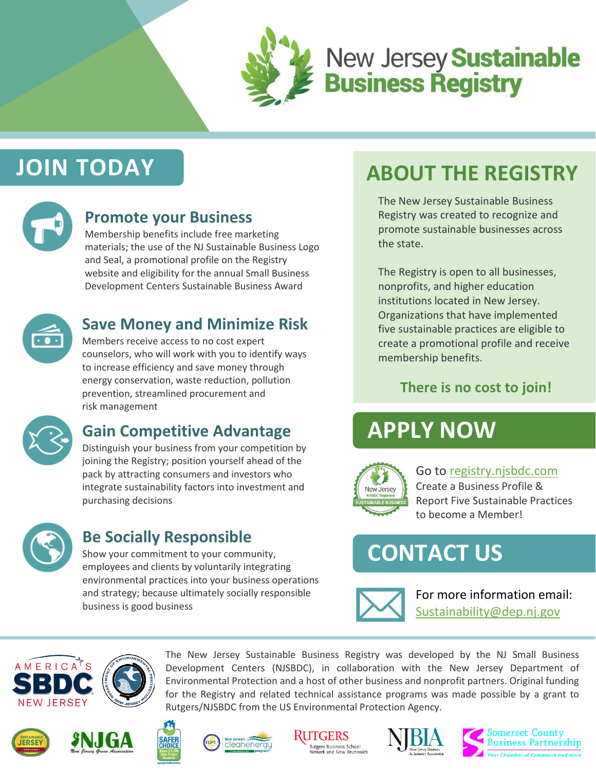

# **New Jersey Sustainable<br>Business Registry**

# **JOIN TODAY**



### **Promote your Business**

Membership benefits include free marketing materials; the use of the NJ Sustainable Business Logo and Seal, a promotional profile on the Registry website and eligibility for the annual Small Business Development Centers Sustainable Business Award



### **Save Money and Minimize Risk**

Members receive access to no cost expert counselors, who will work with you to identify ways to increase efficiency and save money through energy conservation, waste reduction, pollution prevention, streamlined procurement and risk management



# **Gain Competitive Advantage**

Distinguish your business from your competition by joining the Registry; position yourself ahead of the pack by attracting consumers and investors who integrate sustainability factors into investment and purchasing decisions



### **Be Socially Responsible**

Show your commitment to your community, employees and clients by voluntarily integrating environmental practices into your business operations and strategy; because ultimately socially responsible business is good business

# **ABOUT THE REGISTRY**

The New Jersey Sustainable Business Registry was created to recognize and promote sustainable businesses across the state.

The Registry is open to all businesses, nonprofits, and higher education institutions located in New Jersey. Organizations that have implemented five sustainable practices are eligible to create a promotional profile and receive membership benefits.

### **There is no cost to join!**

# **APPLY NOW**



Go to [registry.njsbdc.com](httphttp://registry.njsbdc.com/user/register) Create a Business Profile & Report Five Sustainable Practices to become a Member!

# **CONTACT US**



For more information email: [Sustainability@dep.nj.gov](mailto:Sustainability@dep.nj.gov)





The New Jersey Sustainable Business Registry was developed by the NJ Small Business Development Centers (NJSBDC), in collaboration with the New Jersey Department of Environmental Protection and a host of other business and nonprofit partners. Original funding for the Registry and related technical assistance programs was made possible by a grant to Rutgers/NJSBDC from the US Environmental Protection Agency.